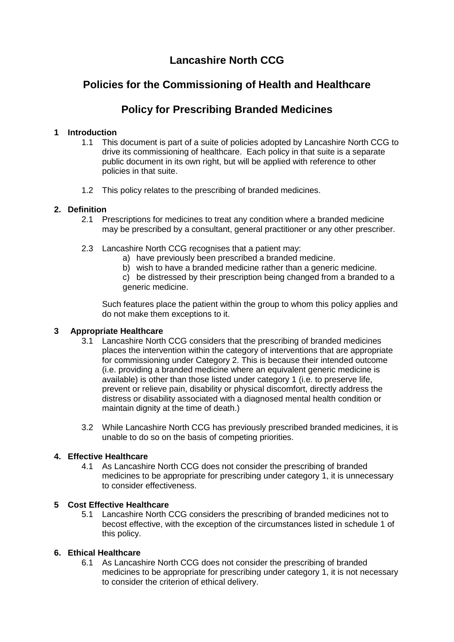# **Lancashire North CCG**

## **Policies for the Commissioning of Health and Healthcare**

## **Policy for Prescribing Branded Medicines**

## **1 Introduction**

- 1.1 This document is part of a suite of policies adopted by Lancashire North CCG to drive its commissioning of healthcare. Each policy in that suite is a separate public document in its own right, but will be applied with reference to other policies in that suite.
- 1.2 This policy relates to the prescribing of branded medicines.

## **2. Definition**

- 2.1 Prescriptions for medicines to treat any condition where a branded medicine may be prescribed by a consultant, general practitioner or any other prescriber.
- 2.3 Lancashire North CCG recognises that a patient may:
	- a) have previously been prescribed a branded medicine.
	- b) wish to have a branded medicine rather than a generic medicine.
	- c) be distressed by their prescription being changed from a branded to a generic medicine.

Such features place the patient within the group to whom this policy applies and do not make them exceptions to it.

## **3 Appropriate Healthcare**

- 3.1 Lancashire North CCG considers that the prescribing of branded medicines places the intervention within the category of interventions that are appropriate for commissioning under Category 2. This is because their intended outcome (i.e. providing a branded medicine where an equivalent generic medicine is available) is other than those listed under category 1 (i.e. to preserve life, prevent or relieve pain, disability or physical discomfort, directly address the distress or disability associated with a diagnosed mental health condition or maintain dignity at the time of death.)
- 3.2 While Lancashire North CCG has previously prescribed branded medicines, it is unable to do so on the basis of competing priorities.

## **4. Effective Healthcare**

4.1 As Lancashire North CCG does not consider the prescribing of branded medicines to be appropriate for prescribing under category 1, it is unnecessary to consider effectiveness.

## **5 Cost Effective Healthcare**

5.1 Lancashire North CCG considers the prescribing of branded medicines not to becost effective, with the exception of the circumstances listed in schedule 1 of this policy.

## **6. Ethical Healthcare**

6.1 As Lancashire North CCG does not consider the prescribing of branded medicines to be appropriate for prescribing under category 1, it is not necessary to consider the criterion of ethical delivery.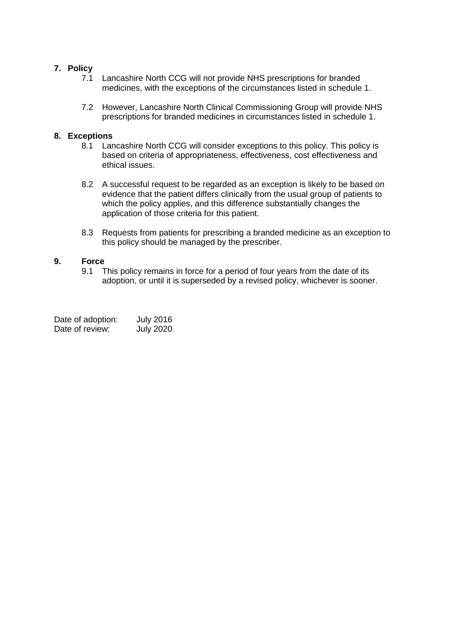#### **7. Policy**

- 7.1 Lancashire North CCG will not provide NHS prescriptions for branded medicines, with the exceptions of the circumstances listed in schedule 1.
- 7.2 However, Lancashire North Clinical Commissioning Group will provide NHS prescriptions for branded medicines in circumstances listed in schedule 1.

#### **8. Exceptions**

- 8.1 Lancashire North CCG will consider exceptions to this policy. This policy is based on criteria of appropriateness, effectiveness, cost effectiveness and ethical issues.
- 8.2 A successful request to be regarded as an exception is likely to be based on evidence that the patient differs clinically from the usual group of patients to which the policy applies, and this difference substantially changes the application of those criteria for this patient.
- 8.3 Requests from patients for prescribing a branded medicine as an exception to this policy should be managed by the prescriber.

# **9. Force**

This policy remains in force for a period of four years from the date of its adoption, or until it is superseded by a revised policy, whichever is sooner.

| Date of adoption: | <b>July 2016</b> |
|-------------------|------------------|
| Date of review:   | <b>July 2020</b> |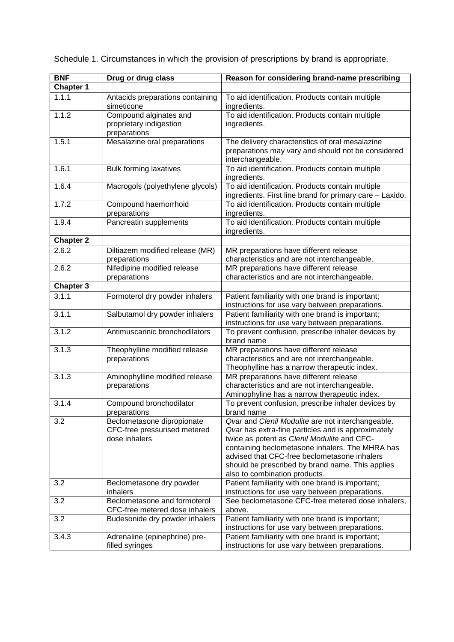| <b>BNF</b>       | Drug or drug class                                                          | Reason for considering brand-name prescribing                                                                                                                                                                                                                                                                                                  |
|------------------|-----------------------------------------------------------------------------|------------------------------------------------------------------------------------------------------------------------------------------------------------------------------------------------------------------------------------------------------------------------------------------------------------------------------------------------|
| <b>Chapter 1</b> |                                                                             |                                                                                                                                                                                                                                                                                                                                                |
| 1.1.1            | Antacids preparations containing<br>simeticone                              | To aid identification. Products contain multiple<br>ingredients.                                                                                                                                                                                                                                                                               |
| 1.1.2            | Compound alginates and<br>proprietary indigestion<br>preparations           | To aid identification. Products contain multiple<br>ingredients.                                                                                                                                                                                                                                                                               |
| 1.5.1            | Mesalazine oral preparations                                                | The delivery characteristics of oral mesalazine<br>preparations may vary and should not be considered<br>interchangeable.                                                                                                                                                                                                                      |
| 1.6.1            | <b>Bulk forming laxatives</b>                                               | To aid identification. Products contain multiple<br>ingredients.                                                                                                                                                                                                                                                                               |
| 1.6.4            | Macrogols (polyethylene glycols)                                            | To aid identification. Products contain multiple<br>ingredients. First line brand for primary care - Laxido.                                                                                                                                                                                                                                   |
| 1.7.2            | Compound haemorrhoid<br>preparations                                        | To aid identification. Products contain multiple<br>ingredients.                                                                                                                                                                                                                                                                               |
| 1.9.4            | Pancreatin supplements                                                      | To aid identification. Products contain multiple<br>ingredients.                                                                                                                                                                                                                                                                               |
| <b>Chapter 2</b> |                                                                             |                                                                                                                                                                                                                                                                                                                                                |
| 2.6.2            | Diltiazem modified release (MR)<br>preparations                             | MR preparations have different release<br>characteristics and are not interchangeable.                                                                                                                                                                                                                                                         |
| 2.6.2            | Nifedipine modified release<br>preparations                                 | MR preparations have different release<br>characteristics and are not interchangeable.                                                                                                                                                                                                                                                         |
| Chapter 3        |                                                                             |                                                                                                                                                                                                                                                                                                                                                |
| 3.1.1            | Formoterol dry powder inhalers                                              | Patient familiarity with one brand is important;<br>instructions for use vary between preparations.                                                                                                                                                                                                                                            |
| 3.1.1            | Salbutamol dry powder inhalers                                              | Patient familiarity with one brand is important;<br>instructions for use vary between preparations.                                                                                                                                                                                                                                            |
| 3.1.2            | Antimuscarinic bronchodilators                                              | To prevent confusion, prescribe inhaler devices by<br>brand name                                                                                                                                                                                                                                                                               |
| 3.1.3            | Theophylline modified release<br>preparations                               | MR preparations have different release<br>characteristics and are not interchangeable.<br>Theophylline has a narrow therapeutic index.                                                                                                                                                                                                         |
| 3.1.3            | Aminophylline modified release<br>preparations                              | MR preparations have different release<br>characteristics and are not interchangeable.<br>Aminophyline has a narrow therapeutic index.                                                                                                                                                                                                         |
| 3.1.4            | Compound bronchodilator<br>preparations                                     | To prevent confusion, prescribe inhaler devices by<br>brand name                                                                                                                                                                                                                                                                               |
| 3.2              | Beclometasone dipropionate<br>CFC-free pressurised metered<br>dose inhalers | Qvar and Clenil Modulite are not interchangeable.<br>Qvar has extra-fine particles and is approximately<br>twice as potent as Clenil Modulite and CFC-<br>containing beclometasone inhalers. The MHRA has<br>advised that CFC-free beclometasone inhalers<br>should be prescribed by brand name. This applies<br>also to combination products. |
| 3.2              | Beclometasone dry powder<br>inhalers                                        | Patient familiarity with one brand is important;<br>instructions for use vary between preparations.                                                                                                                                                                                                                                            |
| 3.2              | Beclometasone and formoterol<br>CFC-free metered dose inhalers              | See beclometasone CFC-free metered dose inhalers,<br>above.                                                                                                                                                                                                                                                                                    |
| 3.2              | Budesonide dry powder inhalers                                              | Patient familiarity with one brand is important;<br>instructions for use vary between preparations.                                                                                                                                                                                                                                            |
| 3.4.3            | Adrenaline (epinephrine) pre-<br>filled syringes                            | Patient familiarity with one brand is important;<br>instructions for use vary between preparations.                                                                                                                                                                                                                                            |

Schedule 1. Circumstances in which the provision of prescriptions by brand is appropriate.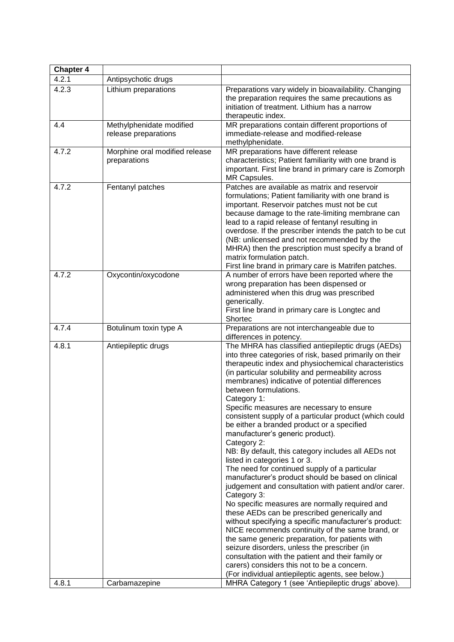| <b>Chapter 4</b> |                                                  |                                                                                                                                                                                                                                                                                                                                                                                                                                                                                                                                                                                                                                                                                                                                                                                                                                                                                                                                                                                                                                                                                                                                                                                                                                                                               |
|------------------|--------------------------------------------------|-------------------------------------------------------------------------------------------------------------------------------------------------------------------------------------------------------------------------------------------------------------------------------------------------------------------------------------------------------------------------------------------------------------------------------------------------------------------------------------------------------------------------------------------------------------------------------------------------------------------------------------------------------------------------------------------------------------------------------------------------------------------------------------------------------------------------------------------------------------------------------------------------------------------------------------------------------------------------------------------------------------------------------------------------------------------------------------------------------------------------------------------------------------------------------------------------------------------------------------------------------------------------------|
| 4.2.1            | Antipsychotic drugs                              |                                                                                                                                                                                                                                                                                                                                                                                                                                                                                                                                                                                                                                                                                                                                                                                                                                                                                                                                                                                                                                                                                                                                                                                                                                                                               |
| 4.2.3            | Lithium preparations                             | Preparations vary widely in bioavailability. Changing<br>the preparation requires the same precautions as<br>initiation of treatment. Lithium has a narrow<br>therapeutic index.                                                                                                                                                                                                                                                                                                                                                                                                                                                                                                                                                                                                                                                                                                                                                                                                                                                                                                                                                                                                                                                                                              |
| 4.4              | Methylphenidate modified<br>release preparations | MR preparations contain different proportions of<br>immediate-release and modified-release<br>methylphenidate.                                                                                                                                                                                                                                                                                                                                                                                                                                                                                                                                                                                                                                                                                                                                                                                                                                                                                                                                                                                                                                                                                                                                                                |
| 4.7.2            | Morphine oral modified release<br>preparations   | MR preparations have different release<br>characteristics; Patient familiarity with one brand is<br>important. First line brand in primary care is Zomorph<br>MR Capsules.                                                                                                                                                                                                                                                                                                                                                                                                                                                                                                                                                                                                                                                                                                                                                                                                                                                                                                                                                                                                                                                                                                    |
| 4.7.2            | Fentanyl patches                                 | Patches are available as matrix and reservoir<br>formulations; Patient familiarity with one brand is<br>important. Reservoir patches must not be cut<br>because damage to the rate-limiting membrane can<br>lead to a rapid release of fentanyl resulting in<br>overdose. If the prescriber intends the patch to be cut<br>(NB: unlicensed and not recommended by the<br>MHRA) then the prescription must specify a brand of<br>matrix formulation patch.<br>First line brand in primary care is Matrifen patches.                                                                                                                                                                                                                                                                                                                                                                                                                                                                                                                                                                                                                                                                                                                                                            |
| 4.7.2            | Oxycontin/oxycodone                              | A number of errors have been reported where the<br>wrong preparation has been dispensed or<br>administered when this drug was prescribed<br>generically.<br>First line brand in primary care is Longtec and<br>Shortec                                                                                                                                                                                                                                                                                                                                                                                                                                                                                                                                                                                                                                                                                                                                                                                                                                                                                                                                                                                                                                                        |
| 4.7.4            | Botulinum toxin type A                           | Preparations are not interchangeable due to<br>differences in potency.                                                                                                                                                                                                                                                                                                                                                                                                                                                                                                                                                                                                                                                                                                                                                                                                                                                                                                                                                                                                                                                                                                                                                                                                        |
| 4.8.1            | Antiepileptic drugs                              | The MHRA has classified antiepileptic drugs (AEDs)<br>into three categories of risk, based primarily on their<br>therapeutic index and physiochemical characteristics<br>(in particular solubility and permeability across<br>membranes) indicative of potential differences<br>between formulations.<br>Category 1:<br>Specific measures are necessary to ensure<br>consistent supply of a particular product (which could<br>be either a branded product or a specified<br>manufacturer's generic product).<br>Category 2:<br>NB: By default, this category includes all AEDs not<br>listed in categories 1 or 3.<br>The need for continued supply of a particular<br>manufacturer's product should be based on clinical<br>judgement and consultation with patient and/or carer.<br>Category 3:<br>No specific measures are normally required and<br>these AEDs can be prescribed generically and<br>without specifying a specific manufacturer's product:<br>NICE recommends continuity of the same brand, or<br>the same generic preparation, for patients with<br>seizure disorders, unless the prescriber (in<br>consultation with the patient and their family or<br>carers) considers this not to be a concern.<br>(For individual antiepileptic agents, see below.) |
| 4.8.1            | Carbamazepine                                    | MHRA Category 1 (see 'Antiepileptic drugs' above).                                                                                                                                                                                                                                                                                                                                                                                                                                                                                                                                                                                                                                                                                                                                                                                                                                                                                                                                                                                                                                                                                                                                                                                                                            |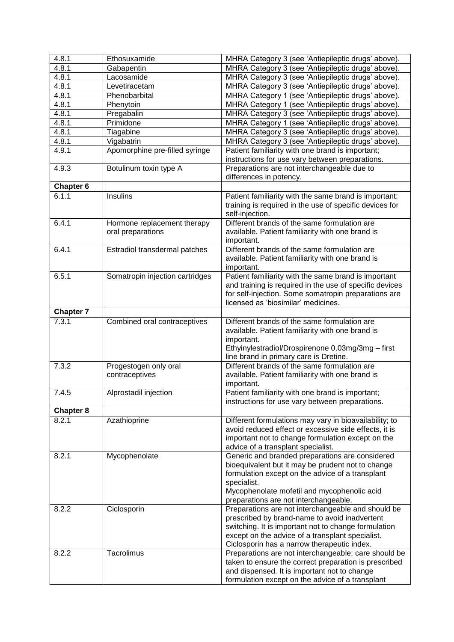| 4.8.1                  | Ethosuxamide                                     | MHRA Category 3 (see 'Antiepileptic drugs' above).                                                                                                                                                                                                              |
|------------------------|--------------------------------------------------|-----------------------------------------------------------------------------------------------------------------------------------------------------------------------------------------------------------------------------------------------------------------|
| 4.8.1                  | Gabapentin                                       | MHRA Category 3 (see 'Antiepileptic drugs' above).                                                                                                                                                                                                              |
| 4.8.1                  | Lacosamide                                       | MHRA Category 3 (see 'Antiepileptic drugs' above).                                                                                                                                                                                                              |
| 4.8.1                  | Levetiracetam                                    | MHRA Category 3 (see 'Antiepileptic drugs' above).                                                                                                                                                                                                              |
| 4.8.1                  | Phenobarbital                                    | MHRA Category 1 (see 'Antiepileptic drugs' above).                                                                                                                                                                                                              |
| 4.8.1                  | Phenytoin                                        | MHRA Category 1 (see 'Antiepileptic drugs' above).                                                                                                                                                                                                              |
| 4.8.1                  | Pregabalin                                       | MHRA Category 3 (see 'Antiepileptic drugs' above).                                                                                                                                                                                                              |
| 4.8.1                  | Primidone                                        | MHRA Category 1 (see 'Antiepileptic drugs' above).                                                                                                                                                                                                              |
| 4.8.1                  | Tiagabine                                        | MHRA Category 3 (see 'Antiepileptic drugs' above).                                                                                                                                                                                                              |
| 4.8.1                  | Vigabatrin                                       | MHRA Category 3 (see 'Antiepileptic drugs' above).                                                                                                                                                                                                              |
| 4.9.1                  | Apomorphine pre-filled syringe                   | Patient familiarity with one brand is important;                                                                                                                                                                                                                |
|                        |                                                  | instructions for use vary between preparations.                                                                                                                                                                                                                 |
| 4.9.3                  | Botulinum toxin type A                           | Preparations are not interchangeable due to<br>differences in potency.                                                                                                                                                                                          |
| <b>Chapter 6</b>       |                                                  |                                                                                                                                                                                                                                                                 |
| 6.1.1                  | Insulins                                         | Patient familiarity with the same brand is important;<br>training is required in the use of specific devices for<br>self-injection.                                                                                                                             |
| 6.4.1                  | Hormone replacement therapy<br>oral preparations | Different brands of the same formulation are<br>available. Patient familiarity with one brand is<br>important.                                                                                                                                                  |
| 6.4.1                  | Estradiol transdermal patches                    | Different brands of the same formulation are<br>available. Patient familiarity with one brand is<br>important.                                                                                                                                                  |
| 6.5.1                  | Somatropin injection cartridges                  | Patient familiarity with the same brand is important<br>and training is required in the use of specific devices<br>for self-injection. Some somatropin preparations are<br>licensed as 'biosimilar' medicines.                                                  |
| <b>Chapter 7</b>       |                                                  |                                                                                                                                                                                                                                                                 |
| 7.3.1                  | Combined oral contraceptives                     | Different brands of the same formulation are                                                                                                                                                                                                                    |
|                        |                                                  | available. Patient familiarity with one brand is<br>important.                                                                                                                                                                                                  |
|                        |                                                  | Ethyinylestradiol/Drospirenone 0.03mg/3mg - first<br>line brand in primary care is Dretine.                                                                                                                                                                     |
| 7.3.2                  | Progestogen only oral                            | Different brands of the same formulation are                                                                                                                                                                                                                    |
|                        | contraceptives                                   | available. Patient familiarity with one brand is<br>important.                                                                                                                                                                                                  |
| 7.4.5                  | Alprostadil injection                            | Patient familiarity with one brand is important;<br>instructions for use vary between preparations.                                                                                                                                                             |
| Chapter $\overline{8}$ |                                                  |                                                                                                                                                                                                                                                                 |
| 8.2.1                  | Azathioprine                                     | Different formulations may vary in bioavailability; to<br>avoid reduced effect or excessive side effects, it is<br>important not to change formulation except on the<br>advice of a transplant specialist.                                                      |
| 8.2.1                  | Mycophenolate                                    | Generic and branded preparations are considered<br>bioequivalent but it may be prudent not to change<br>formulation except on the advice of a transplant<br>specialist.<br>Mycophenolate mofetil and mycophenolic acid<br>preparations are not interchangeable. |
| 8.2.2                  | Ciclosporin                                      | Preparations are not interchangeable and should be<br>prescribed by brand-name to avoid inadvertent<br>switching. It is important not to change formulation<br>except on the advice of a transplant specialist.<br>Ciclosporin has a narrow therapeutic index.  |
| 8.2.2                  | Tacrolimus                                       | Preparations are not interchangeable; care should be<br>taken to ensure the correct preparation is prescribed<br>and dispensed. It is important not to change<br>formulation except on the advice of a transplant                                               |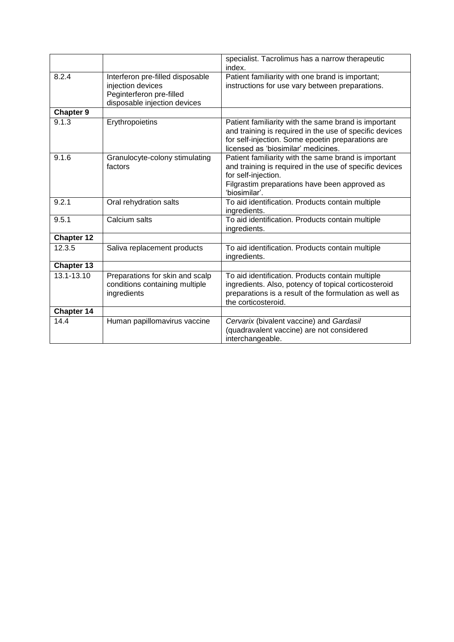|                   |                                                                                                                   | specialist. Tacrolimus has a narrow therapeutic<br>index.                                                                                                                                                   |
|-------------------|-------------------------------------------------------------------------------------------------------------------|-------------------------------------------------------------------------------------------------------------------------------------------------------------------------------------------------------------|
| 8.2.4             | Interferon pre-filled disposable<br>injection devices<br>Peginterferon pre-filled<br>disposable injection devices | Patient familiarity with one brand is important;<br>instructions for use vary between preparations.                                                                                                         |
| <b>Chapter 9</b>  |                                                                                                                   |                                                                                                                                                                                                             |
| 9.1.3             | Erythropoietins                                                                                                   | Patient familiarity with the same brand is important<br>and training is required in the use of specific devices<br>for self-injection. Some epoetin preparations are<br>licensed as 'biosimilar' medicines. |
| 9.1.6             | Granulocyte-colony stimulating<br>factors                                                                         | Patient familiarity with the same brand is important<br>and training is required in the use of specific devices<br>for self-injection.<br>Filgrastim preparations have been approved as<br>'biosimilar'.    |
| 9.2.1             | Oral rehydration salts                                                                                            | To aid identification. Products contain multiple<br>ingredients.                                                                                                                                            |
| 9.5.1             | Calcium salts                                                                                                     | To aid identification. Products contain multiple<br>ingredients.                                                                                                                                            |
| <b>Chapter 12</b> |                                                                                                                   |                                                                                                                                                                                                             |
| 12.3.5            | Saliva replacement products                                                                                       | To aid identification. Products contain multiple<br>ingredients.                                                                                                                                            |
| Chapter 13        |                                                                                                                   |                                                                                                                                                                                                             |
| 13.1-13.10        | Preparations for skin and scalp<br>conditions containing multiple<br>ingredients                                  | To aid identification. Products contain multiple<br>ingredients. Also, potency of topical corticosteroid<br>preparations is a result of the formulation as well as<br>the corticosteroid.                   |
| Chapter 14        |                                                                                                                   |                                                                                                                                                                                                             |
| 14.4              | Human papillomavirus vaccine                                                                                      | Cervarix (bivalent vaccine) and Gardasil<br>(quadravalent vaccine) are not considered<br>interchangeable.                                                                                                   |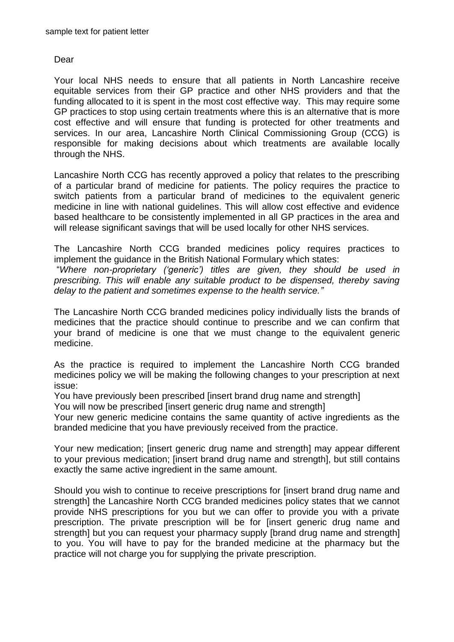## Dear

Your local NHS needs to ensure that all patients in North Lancashire receive equitable services from their GP practice and other NHS providers and that the funding allocated to it is spent in the most cost effective way. This may require some GP practices to stop using certain treatments where this is an alternative that is more cost effective and will ensure that funding is protected for other treatments and services. In our area, Lancashire North Clinical Commissioning Group (CCG) is responsible for making decisions about which treatments are available locally through the NHS.

Lancashire North CCG has recently approved a policy that relates to the prescribing of a particular brand of medicine for patients. The policy requires the practice to switch patients from a particular brand of medicines to the equivalent generic medicine in line with national guidelines. This will allow cost effective and evidence based healthcare to be consistently implemented in all GP practices in the area and will release significant savings that will be used locally for other NHS services.

The Lancashire North CCG branded medicines policy requires practices to implement the guidance in the British National Formulary which states:

"*Where non-proprietary ('generic') titles are given, they should be used in prescribing. This will enable any suitable product to be dispensed, thereby saving delay to the patient and sometimes expense to the health service."*

The Lancashire North CCG branded medicines policy individually lists the brands of medicines that the practice should continue to prescribe and we can confirm that your brand of medicine is one that we must change to the equivalent generic medicine.

As the practice is required to implement the Lancashire North CCG branded medicines policy we will be making the following changes to your prescription at next issue:

You have previously been prescribed [insert brand drug name and strength]

You will now be prescribed [insert generic drug name and strength]

Your new generic medicine contains the same quantity of active ingredients as the branded medicine that you have previously received from the practice.

Your new medication: linsert generic drug name and strength] may appear different to your previous medication; [insert brand drug name and strength], but still contains exactly the same active ingredient in the same amount.

Should you wish to continue to receive prescriptions for [insert brand drug name and strength] the Lancashire North CCG branded medicines policy states that we cannot provide NHS prescriptions for you but we can offer to provide you with a private prescription. The private prescription will be for [insert generic drug name and strength] but you can request your pharmacy supply [brand drug name and strength] to you. You will have to pay for the branded medicine at the pharmacy but the practice will not charge you for supplying the private prescription.